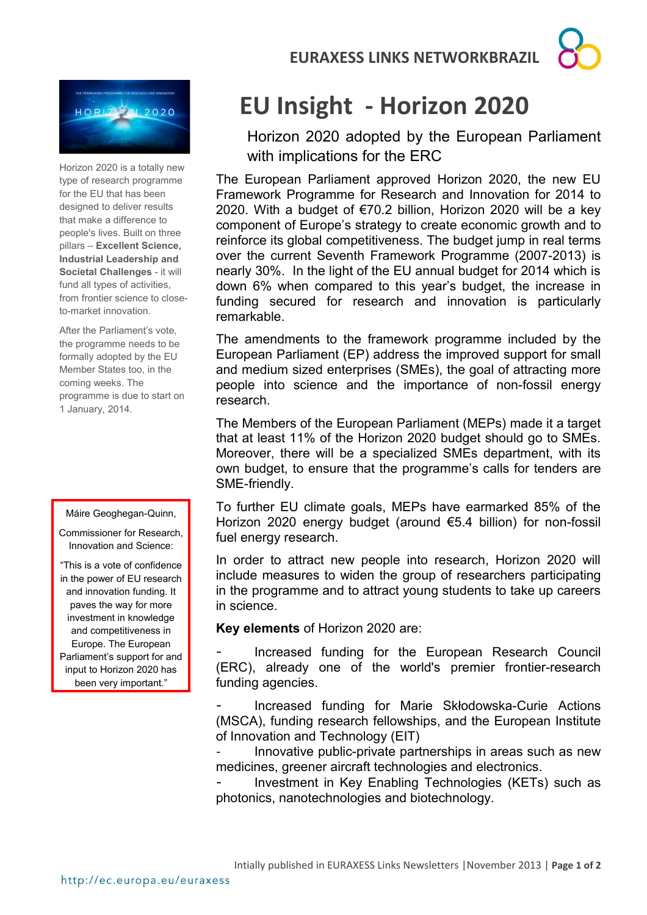**EURAXESS LINKS NETWORKBRAZIL**





Horizon 2020 is a totally new type of research programme for the EU that has been designed to deliver results that make a difference to people's lives. Built on three pillars – **Excellent Science, Industrial Leadership and Societal Challenges** - it will fund all types of activities, from frontier science to closeto-market innovation.

After the Parliament's vote, the programme needs to be formally adopted by the EU Member States too, in the coming weeks. The programme is due to start on 1 January, 2014.

## Máire Geoghegan-Quinn,

Commissioner for Research, Innovation and Science:

"This is a vote of confidence in the power of EU research and innovation funding. It paves the way for more investment in knowledge and competitiveness in Europe. The European Parliament's support for and input to Horizon 2020 has been very important."

## **EU Insight - Horizon 2020**

Horizon 2020 adopted by the European Parliament with implications for the ERC

The European Parliament approved Horizon 2020, the new EU Framework Programme for Research and Innovation for 2014 to 2020. With a budget of €70.2 billion, Horizon 2020 will be a key component of Europe's strategy to create economic growth and to reinforce its global competitiveness. The budget jump in real terms over the current Seventh Framework Programme (2007-2013) is nearly 30%. In the light of the EU annual budget for 2014 which is down 6% when compared to this year's budget, the increase in funding secured for research and innovation is particularly remarkable.

The amendments to the framework programme included by the European Parliament (EP) address the improved support for small and medium sized enterprises (SMEs), the goal of attracting more people into science and the importance of non-fossil energy research.

The Members of the European Parliament (MEPs) made it a target that at least 11% of the Horizon 2020 budget should go to SMEs. Moreover, there will be a specialized SMEs department, with its own budget, to ensure that the programme's calls for tenders are SME-friendly.

To further EU climate goals, MEPs have earmarked 85% of the Horizon 2020 energy budget (around €5.4 billion) for non-fossil fuel energy research.

In order to attract new people into research, Horizon 2020 will include measures to widen the group of researchers participating in the programme and to attract young students to take up careers in science.

**Key elements** of Horizon 2020 are:

Increased funding for the European Research Council (ERC), already one of the world's premier frontier-research funding agencies.

Increased funding for Marie Skłodowska-Curie Actions (MSCA), funding research fellowships, and the European Institute of Innovation and Technology (EIT)

Innovative public-private partnerships in areas such as new medicines, greener aircraft technologies and electronics.

Investment in Key Enabling Technologies (KETs) such as photonics, nanotechnologies and biotechnology.